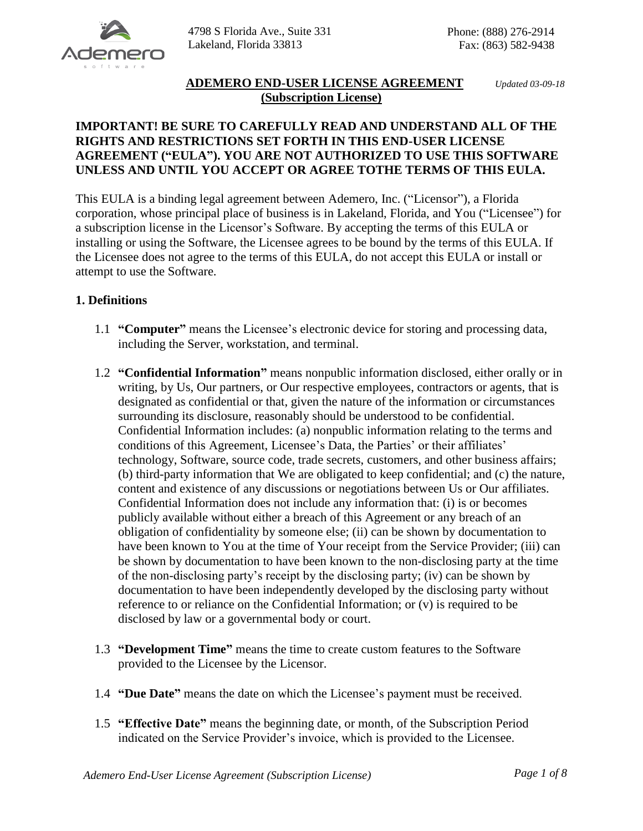

# **ADEMERO END-USER LICENSE AGREEMENT** *Updated 03-09-18* **(Subscription License)**

### **IMPORTANT! BE SURE TO CAREFULLY READ AND UNDERSTAND ALL OF THE RIGHTS AND RESTRICTIONS SET FORTH IN THIS END-USER LICENSE AGREEMENT ("EULA"). YOU ARE NOT AUTHORIZED TO USE THIS SOFTWARE UNLESS AND UNTIL YOU ACCEPT OR AGREE TOTHE TERMS OF THIS EULA.**

This EULA is a binding legal agreement between Ademero, Inc. ("Licensor"), a Florida corporation, whose principal place of business is in Lakeland, Florida, and You ("Licensee") for a subscription license in the Licensor's Software. By accepting the terms of this EULA or installing or using the Software, the Licensee agrees to be bound by the terms of this EULA. If the Licensee does not agree to the terms of this EULA, do not accept this EULA or install or attempt to use the Software.

# **1. Definitions**

- 1.1 **"Computer"** means the Licensee's electronic device for storing and processing data, including the Server, workstation, and terminal.
- 1.2 **"Confidential Information"** means nonpublic information disclosed, either orally or in writing, by Us, Our partners, or Our respective employees, contractors or agents, that is designated as confidential or that, given the nature of the information or circumstances surrounding its disclosure, reasonably should be understood to be confidential. Confidential Information includes: (a) nonpublic information relating to the terms and conditions of this Agreement, Licensee's Data, the Parties' or their affiliates' technology, Software, source code, trade secrets, customers, and other business affairs; (b) third-party information that We are obligated to keep confidential; and (c) the nature, content and existence of any discussions or negotiations between Us or Our affiliates. Confidential Information does not include any information that: (i) is or becomes publicly available without either a breach of this Agreement or any breach of an obligation of confidentiality by someone else; (ii) can be shown by documentation to have been known to You at the time of Your receipt from the Service Provider; (iii) can be shown by documentation to have been known to the non-disclosing party at the time of the non-disclosing party's receipt by the disclosing party; (iv) can be shown by documentation to have been independently developed by the disclosing party without reference to or reliance on the Confidential Information; or (v) is required to be disclosed by law or a governmental body or court.
- 1.3 **"Development Time"** means the time to create custom features to the Software provided to the Licensee by the Licensor.
- 1.4 **"Due Date"** means the date on which the Licensee's payment must be received.
- 1.5 **"Effective Date"** means the beginning date, or month, of the Subscription Period indicated on the Service Provider's invoice, which is provided to the Licensee.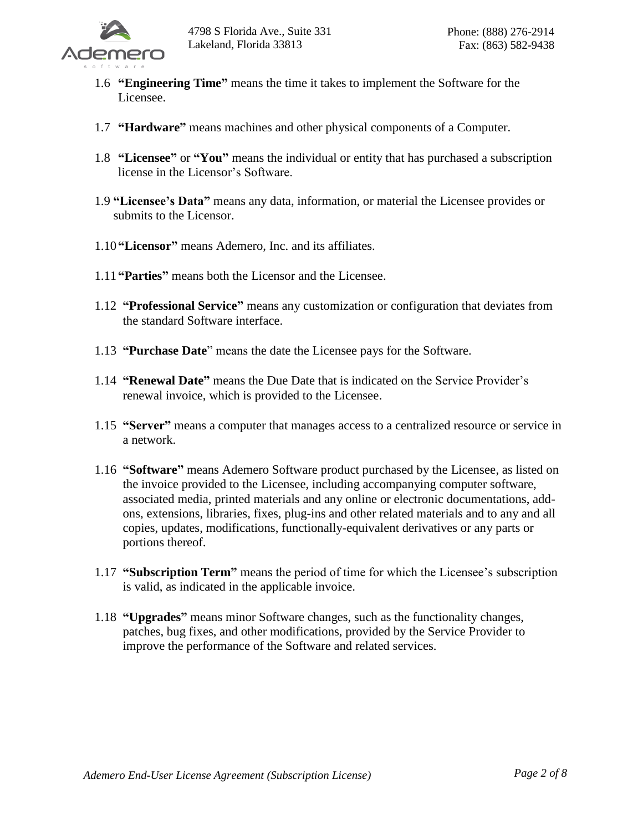

- 1.6 **"Engineering Time"** means the time it takes to implement the Software for the Licensee.
- 1.7 **"Hardware"** means machines and other physical components of a Computer.
- 1.8 **"Licensee"** or **"You"** means the individual or entity that has purchased a subscription license in the Licensor's Software.
- 1.9 **"Licensee's Data"** means any data, information, or material the Licensee provides or submits to the Licensor.
- 1.10 **"Licensor"** means Ademero, Inc. and its affiliates.
- 1.11 **"Parties"** means both the Licensor and the Licensee.
- 1.12 **"Professional Service"** means any customization or configuration that deviates from the standard Software interface.
- 1.13 **"Purchase Date**" means the date the Licensee pays for the Software.
- 1.14 **"Renewal Date"** means the Due Date that is indicated on the Service Provider's renewal invoice, which is provided to the Licensee.
- 1.15 **"Server"** means a computer that manages access to a centralized resource or service in a network.
- 1.16 **"Software"** means Ademero Software product purchased by the Licensee, as listed on the invoice provided to the Licensee, including accompanying computer software, associated media, printed materials and any online or electronic documentations, addons, extensions, libraries, fixes, plug-ins and other related materials and to any and all copies, updates, modifications, functionally-equivalent derivatives or any parts or portions thereof.
- 1.17 **"Subscription Term"** means the period of time for which the Licensee's subscription is valid, as indicated in the applicable invoice.
- 1.18 **"Upgrades"** means minor Software changes, such as the functionality changes, patches, bug fixes, and other modifications, provided by the Service Provider to improve the performance of the Software and related services.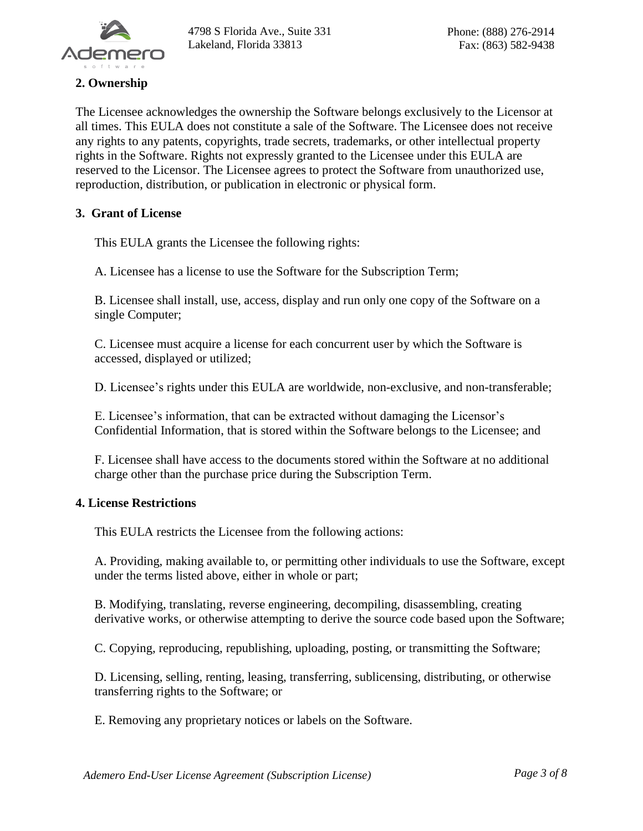

# **2. Ownership**

The Licensee acknowledges the ownership the Software belongs exclusively to the Licensor at all times. This EULA does not constitute a sale of the Software. The Licensee does not receive any rights to any patents, copyrights, trade secrets, trademarks, or other intellectual property rights in the Software. Rights not expressly granted to the Licensee under this EULA are reserved to the Licensor. The Licensee agrees to protect the Software from unauthorized use, reproduction, distribution, or publication in electronic or physical form.

### **3. Grant of License**

This EULA grants the Licensee the following rights:

A. Licensee has a license to use the Software for the Subscription Term;

B. Licensee shall install, use, access, display and run only one copy of the Software on a single Computer;

C. Licensee must acquire a license for each concurrent user by which the Software is accessed, displayed or utilized;

D. Licensee's rights under this EULA are worldwide, non-exclusive, and non-transferable;

E. Licensee's information, that can be extracted without damaging the Licensor's Confidential Information, that is stored within the Software belongs to the Licensee; and

F. Licensee shall have access to the documents stored within the Software at no additional charge other than the purchase price during the Subscription Term.

#### **4. License Restrictions**

This EULA restricts the Licensee from the following actions:

A. Providing, making available to, or permitting other individuals to use the Software, except under the terms listed above, either in whole or part;

B. Modifying, translating, reverse engineering, decompiling, disassembling, creating derivative works, or otherwise attempting to derive the source code based upon the Software;

C. Copying, reproducing, republishing, uploading, posting, or transmitting the Software;

D. Licensing, selling, renting, leasing, transferring, sublicensing, distributing, or otherwise transferring rights to the Software; or

E. Removing any proprietary notices or labels on the Software.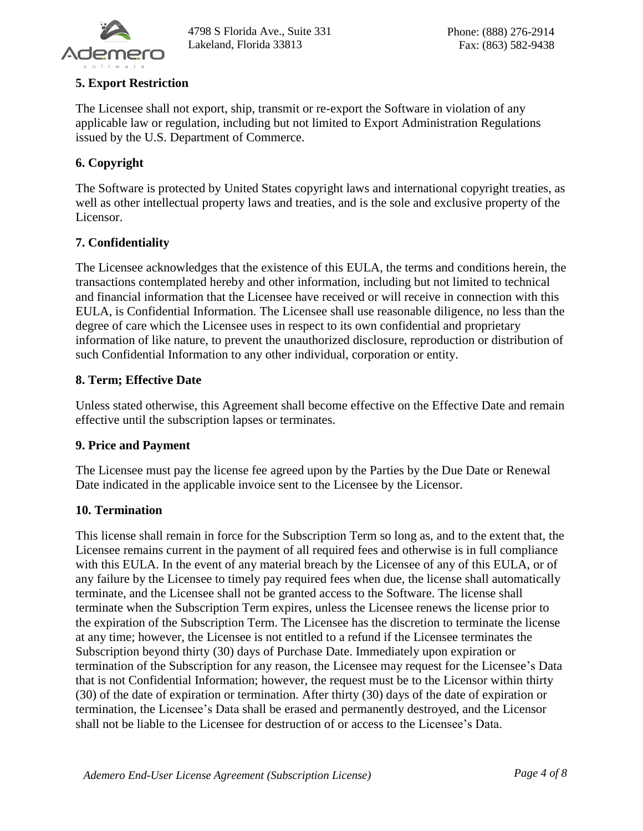

## **5. Export Restriction**

The Licensee shall not export, ship, transmit or re-export the Software in violation of any applicable law or regulation, including but not limited to Export Administration Regulations issued by the U.S. Department of Commerce.

# **6. Copyright**

The Software is protected by United States copyright laws and international copyright treaties, as well as other intellectual property laws and treaties, and is the sole and exclusive property of the Licensor.

# **7. Confidentiality**

The Licensee acknowledges that the existence of this EULA, the terms and conditions herein, the transactions contemplated hereby and other information, including but not limited to technical and financial information that the Licensee have received or will receive in connection with this EULA, is Confidential Information. The Licensee shall use reasonable diligence, no less than the degree of care which the Licensee uses in respect to its own confidential and proprietary information of like nature, to prevent the unauthorized disclosure, reproduction or distribution of such Confidential Information to any other individual, corporation or entity.

# **8. Term; Effective Date**

Unless stated otherwise, this Agreement shall become effective on the Effective Date and remain effective until the subscription lapses or terminates.

### **9. Price and Payment**

The Licensee must pay the license fee agreed upon by the Parties by the Due Date or Renewal Date indicated in the applicable invoice sent to the Licensee by the Licensor.

### **10. Termination**

This license shall remain in force for the Subscription Term so long as, and to the extent that, the Licensee remains current in the payment of all required fees and otherwise is in full compliance with this EULA. In the event of any material breach by the Licensee of any of this EULA, or of any failure by the Licensee to timely pay required fees when due, the license shall automatically terminate, and the Licensee shall not be granted access to the Software. The license shall terminate when the Subscription Term expires, unless the Licensee renews the license prior to the expiration of the Subscription Term. The Licensee has the discretion to terminate the license at any time; however, the Licensee is not entitled to a refund if the Licensee terminates the Subscription beyond thirty (30) days of Purchase Date. Immediately upon expiration or termination of the Subscription for any reason, the Licensee may request for the Licensee's Data that is not Confidential Information; however, the request must be to the Licensor within thirty (30) of the date of expiration or termination. After thirty (30) days of the date of expiration or termination, the Licensee's Data shall be erased and permanently destroyed, and the Licensor shall not be liable to the Licensee for destruction of or access to the Licensee's Data.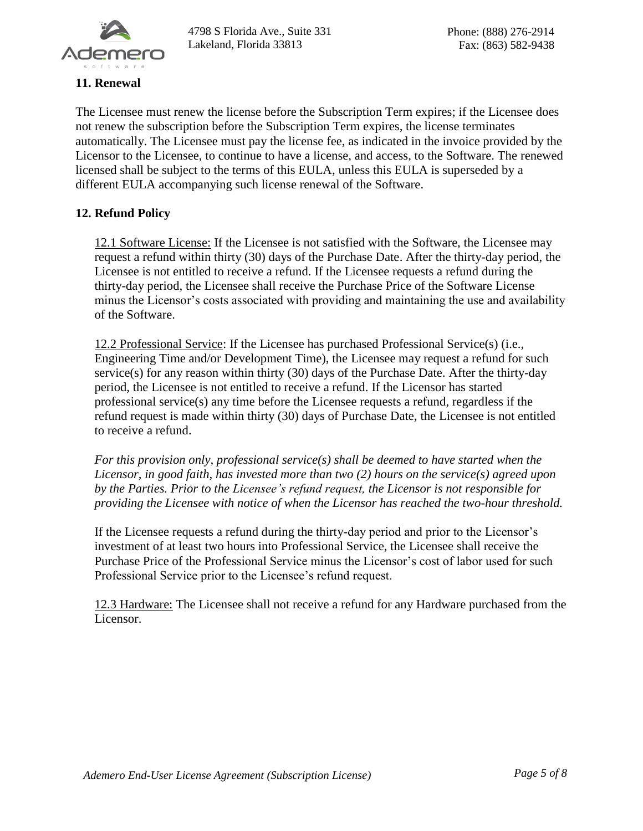

### **11. Renewal**

The Licensee must renew the license before the Subscription Term expires; if the Licensee does not renew the subscription before the Subscription Term expires, the license terminates automatically. The Licensee must pay the license fee, as indicated in the invoice provided by the Licensor to the Licensee, to continue to have a license, and access, to the Software. The renewed licensed shall be subject to the terms of this EULA, unless this EULA is superseded by a different EULA accompanying such license renewal of the Software.

### **12. Refund Policy**

12.1 Software License: If the Licensee is not satisfied with the Software, the Licensee may request a refund within thirty (30) days of the Purchase Date. After the thirty-day period, the Licensee is not entitled to receive a refund. If the Licensee requests a refund during the thirty-day period, the Licensee shall receive the Purchase Price of the Software License minus the Licensor's costs associated with providing and maintaining the use and availability of the Software.

12.2 Professional Service: If the Licensee has purchased Professional Service(s) (i.e., Engineering Time and/or Development Time), the Licensee may request a refund for such service(s) for any reason within thirty (30) days of the Purchase Date. After the thirty-day period, the Licensee is not entitled to receive a refund. If the Licensor has started professional service(s) any time before the Licensee requests a refund, regardless if the refund request is made within thirty (30) days of Purchase Date, the Licensee is not entitled to receive a refund.

*For this provision only, professional service(s) shall be deemed to have started when the Licensor, in good faith, has invested more than two (2) hours on the service(s) agreed upon by the Parties. Prior to the Licensee's refund request, the Licensor is not responsible for providing the Licensee with notice of when the Licensor has reached the two-hour threshold.*

If the Licensee requests a refund during the thirty-day period and prior to the Licensor's investment of at least two hours into Professional Service, the Licensee shall receive the Purchase Price of the Professional Service minus the Licensor's cost of labor used for such Professional Service prior to the Licensee's refund request.

12.3 Hardware: The Licensee shall not receive a refund for any Hardware purchased from the Licensor.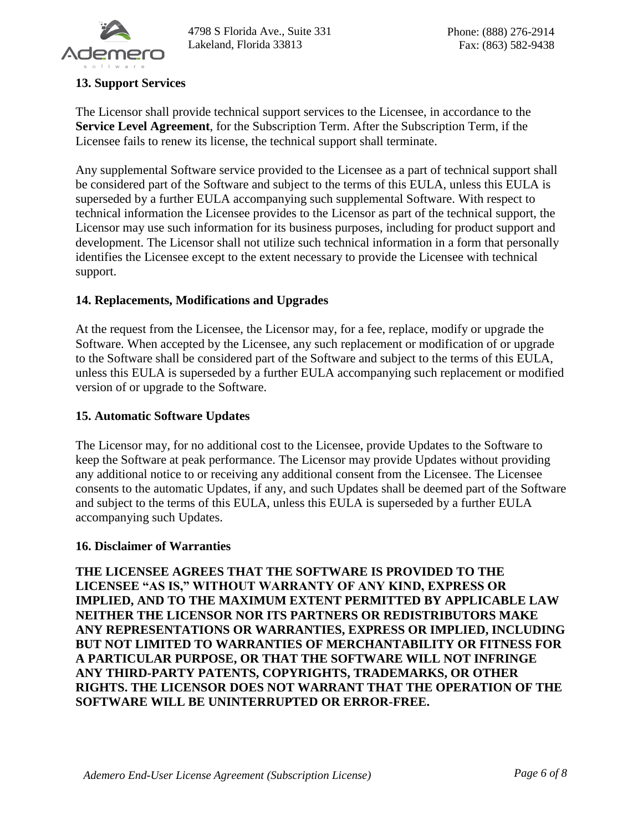

### **13. Support Services**

The Licensor shall provide technical support services to the Licensee, in accordance to the **Service Level Agreement**, for the Subscription Term. After the Subscription Term, if the Licensee fails to renew its license, the technical support shall terminate.

Any supplemental Software service provided to the Licensee as a part of technical support shall be considered part of the Software and subject to the terms of this EULA, unless this EULA is superseded by a further EULA accompanying such supplemental Software. With respect to technical information the Licensee provides to the Licensor as part of the technical support, the Licensor may use such information for its business purposes, including for product support and development. The Licensor shall not utilize such technical information in a form that personally identifies the Licensee except to the extent necessary to provide the Licensee with technical support.

### **14. Replacements, Modifications and Upgrades**

At the request from the Licensee, the Licensor may, for a fee, replace, modify or upgrade the Software. When accepted by the Licensee, any such replacement or modification of or upgrade to the Software shall be considered part of the Software and subject to the terms of this EULA, unless this EULA is superseded by a further EULA accompanying such replacement or modified version of or upgrade to the Software.

#### **15. Automatic Software Updates**

The Licensor may, for no additional cost to the Licensee, provide Updates to the Software to keep the Software at peak performance. The Licensor may provide Updates without providing any additional notice to or receiving any additional consent from the Licensee. The Licensee consents to the automatic Updates, if any, and such Updates shall be deemed part of the Software and subject to the terms of this EULA, unless this EULA is superseded by a further EULA accompanying such Updates.

#### **16. Disclaimer of Warranties**

**THE LICENSEE AGREES THAT THE SOFTWARE IS PROVIDED TO THE LICENSEE "AS IS," WITHOUT WARRANTY OF ANY KIND, EXPRESS OR IMPLIED, AND TO THE MAXIMUM EXTENT PERMITTED BY APPLICABLE LAW NEITHER THE LICENSOR NOR ITS PARTNERS OR REDISTRIBUTORS MAKE ANY REPRESENTATIONS OR WARRANTIES, EXPRESS OR IMPLIED, INCLUDING BUT NOT LIMITED TO WARRANTIES OF MERCHANTABILITY OR FITNESS FOR A PARTICULAR PURPOSE, OR THAT THE SOFTWARE WILL NOT INFRINGE ANY THIRD-PARTY PATENTS, COPYRIGHTS, TRADEMARKS, OR OTHER RIGHTS. THE LICENSOR DOES NOT WARRANT THAT THE OPERATION OF THE SOFTWARE WILL BE UNINTERRUPTED OR ERROR-FREE.**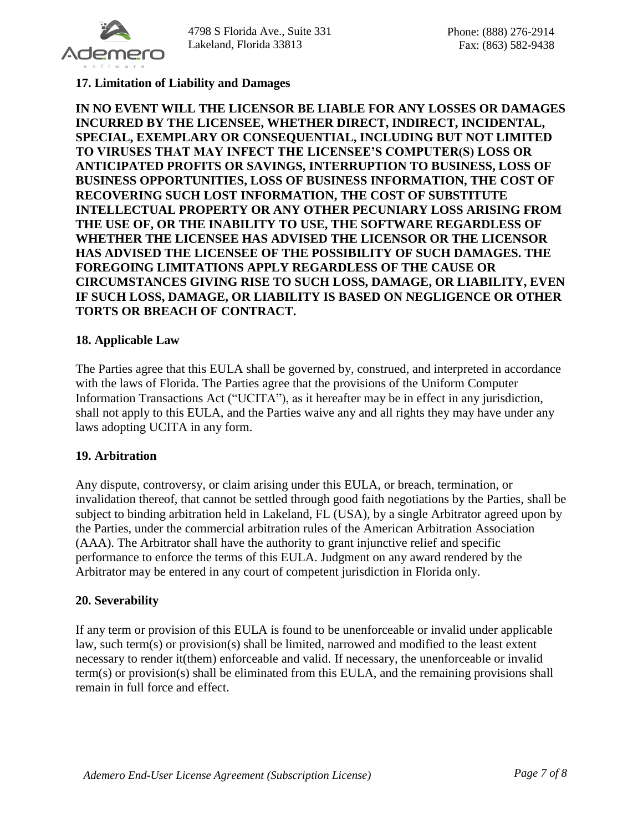

#### **17. Limitation of Liability and Damages**

**IN NO EVENT WILL THE LICENSOR BE LIABLE FOR ANY LOSSES OR DAMAGES INCURRED BY THE LICENSEE, WHETHER DIRECT, INDIRECT, INCIDENTAL, SPECIAL, EXEMPLARY OR CONSEQUENTIAL, INCLUDING BUT NOT LIMITED TO VIRUSES THAT MAY INFECT THE LICENSEE'S COMPUTER(S) LOSS OR ANTICIPATED PROFITS OR SAVINGS, INTERRUPTION TO BUSINESS, LOSS OF BUSINESS OPPORTUNITIES, LOSS OF BUSINESS INFORMATION, THE COST OF RECOVERING SUCH LOST INFORMATION, THE COST OF SUBSTITUTE INTELLECTUAL PROPERTY OR ANY OTHER PECUNIARY LOSS ARISING FROM THE USE OF, OR THE INABILITY TO USE, THE SOFTWARE REGARDLESS OF WHETHER THE LICENSEE HAS ADVISED THE LICENSOR OR THE LICENSOR HAS ADVISED THE LICENSEE OF THE POSSIBILITY OF SUCH DAMAGES. THE FOREGOING LIMITATIONS APPLY REGARDLESS OF THE CAUSE OR CIRCUMSTANCES GIVING RISE TO SUCH LOSS, DAMAGE, OR LIABILITY, EVEN IF SUCH LOSS, DAMAGE, OR LIABILITY IS BASED ON NEGLIGENCE OR OTHER TORTS OR BREACH OF CONTRACT.**

#### **18. Applicable Law**

The Parties agree that this EULA shall be governed by, construed, and interpreted in accordance with the laws of Florida. The Parties agree that the provisions of the Uniform Computer Information Transactions Act ("UCITA"), as it hereafter may be in effect in any jurisdiction, shall not apply to this EULA, and the Parties waive any and all rights they may have under any laws adopting UCITA in any form.

#### **19. Arbitration**

Any dispute, controversy, or claim arising under this EULA, or breach, termination, or invalidation thereof, that cannot be settled through good faith negotiations by the Parties, shall be subject to binding arbitration held in Lakeland, FL (USA), by a single Arbitrator agreed upon by the Parties, under the commercial arbitration rules of the American Arbitration Association (AAA). The Arbitrator shall have the authority to grant injunctive relief and specific performance to enforce the terms of this EULA. Judgment on any award rendered by the Arbitrator may be entered in any court of competent jurisdiction in Florida only.

#### **20. Severability**

If any term or provision of this EULA is found to be unenforceable or invalid under applicable law, such term(s) or provision(s) shall be limited, narrowed and modified to the least extent necessary to render it(them) enforceable and valid. If necessary, the unenforceable or invalid term(s) or provision(s) shall be eliminated from this EULA, and the remaining provisions shall remain in full force and effect.